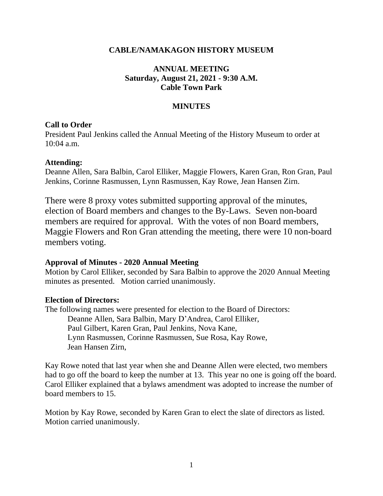### **CABLE/NAMAKAGON HISTORY MUSEUM**

# **ANNUAL MEETING Saturday, August 21, 2021 - 9:30 A.M. Cable Town Park**

# **MINUTES**

### **Call to Order**

President Paul Jenkins called the Annual Meeting of the History Museum to order at 10:04 a.m.

### **Attending:**

Deanne Allen, Sara Balbin, Carol Elliker, Maggie Flowers, Karen Gran, Ron Gran, Paul Jenkins, Corinne Rasmussen, Lynn Rasmussen, Kay Rowe, Jean Hansen Zirn.

There were 8 proxy votes submitted supporting approval of the minutes, election of Board members and changes to the By-Laws. Seven non-board members are required for approval. With the votes of non Board members, Maggie Flowers and Ron Gran attending the meeting, there were 10 non-board members voting.

# **Approval of Minutes - 2020 Annual Meeting**

Motion by Carol Elliker, seconded by Sara Balbin to approve the 2020 Annual Meeting minutes as presented. Motion carried unanimously.

#### **Election of Directors:**

The following names were presented for election to the Board of Directors: Deanne Allen, Sara Balbin, Mary D'Andrea, Carol Elliker, Paul Gilbert, Karen Gran, Paul Jenkins, Nova Kane, Lynn Rasmussen, Corinne Rasmussen, Sue Rosa, Kay Rowe, Jean Hansen Zirn,

Kay Rowe noted that last year when she and Deanne Allen were elected, two members had to go off the board to keep the number at 13. This year no one is going off the board. Carol Elliker explained that a bylaws amendment was adopted to increase the number of board members to 15.

Motion by Kay Rowe, seconded by Karen Gran to elect the slate of directors as listed. Motion carried unanimously.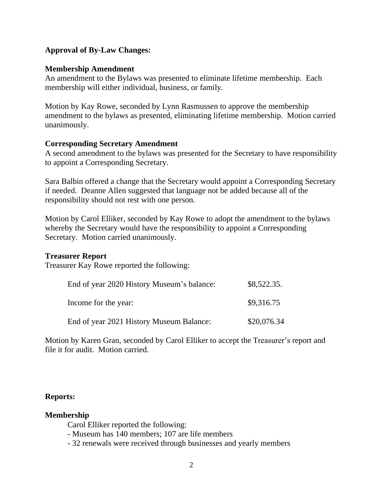### **Approval of By-Law Changes:**

#### **Membership Amendment**

An amendment to the Bylaws was presented to eliminate lifetime membership. Each membership will either individual, business, or family.

Motion by Kay Rowe, seconded by Lynn Rasmussen to approve the membership amendment to the bylaws as presented, eliminating lifetime membership. Motion carried unanimously.

#### **Corresponding Secretary Amendment**

A second amendment to the bylaws was presented for the Secretary to have responsibility to appoint a Corresponding Secretary.

Sara Balbin offered a change that the Secretary would appoint a Corresponding Secretary if needed. Deanne Allen suggested that language not be added because all of the responsibility should not rest with one person.

Motion by Carol Elliker, seconded by Kay Rowe to adopt the amendment to the bylaws whereby the Secretary would have the responsibility to appoint a Corresponding Secretary. Motion carried unanimously.

# **Treasurer Report**

Treasurer Kay Rowe reported the following:

| End of year 2020 History Museum's balance: | \$8,522.35. |
|--------------------------------------------|-------------|
| Income for the year:                       | \$9,316.75  |
| End of year 2021 History Museum Balance:   | \$20,076.34 |

Motion by Karen Gran, seconded by Carol Elliker to accept the Treasurer's report and file it for audit. Motion carried.

#### **Reports:**

#### **Membership**

Carol Elliker reported the following:

- Museum has 140 members; 107 are life members

- 32 renewals were received through businesses and yearly members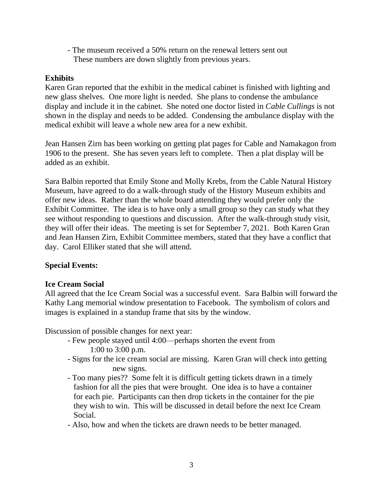- The museum received a 50% return on the renewal letters sent out These numbers are down slightly from previous years.

# **Exhibits**

Karen Gran reported that the exhibit in the medical cabinet is finished with lighting and new glass shelves. One more light is needed. She plans to condense the ambulance display and include it in the cabinet. She noted one doctor listed in *Cable Cullings* is not shown in the display and needs to be added. Condensing the ambulance display with the medical exhibit will leave a whole new area for a new exhibit.

Jean Hansen Zirn has been working on getting plat pages for Cable and Namakagon from 1906 to the present. She has seven years left to complete. Then a plat display will be added as an exhibit.

Sara Balbin reported that Emily Stone and Molly Krebs, from the Cable Natural History Museum, have agreed to do a walk-through study of the History Museum exhibits and offer new ideas. Rather than the whole board attending they would prefer only the Exhibit Committee. The idea is to have only a small group so they can study what they see without responding to questions and discussion. After the walk-through study visit, they will offer their ideas. The meeting is set for September 7, 2021. Both Karen Gran and Jean Hansen Zirn, Exhibit Committee members, stated that they have a conflict that day. Carol Elliker stated that she will attend.

# **Special Events:**

# **Ice Cream Social**

All agreed that the Ice Cream Social was a successful event. Sara Balbin will forward the Kathy Lang memorial window presentation to Facebook. The symbolism of colors and images is explained in a standup frame that sits by the window.

Discussion of possible changes for next year:

- Few people stayed until 4:00—perhaps shorten the event from 1:00 to 3:00 p.m.
- Signs for the ice cream social are missing. Karen Gran will check into getting new signs.
- Too many pies?? Some felt it is difficult getting tickets drawn in a timely fashion for all the pies that were brought. One idea is to have a container for each pie. Participants can then drop tickets in the container for the pie they wish to win. This will be discussed in detail before the next Ice Cream Social.
- Also, how and when the tickets are drawn needs to be better managed.